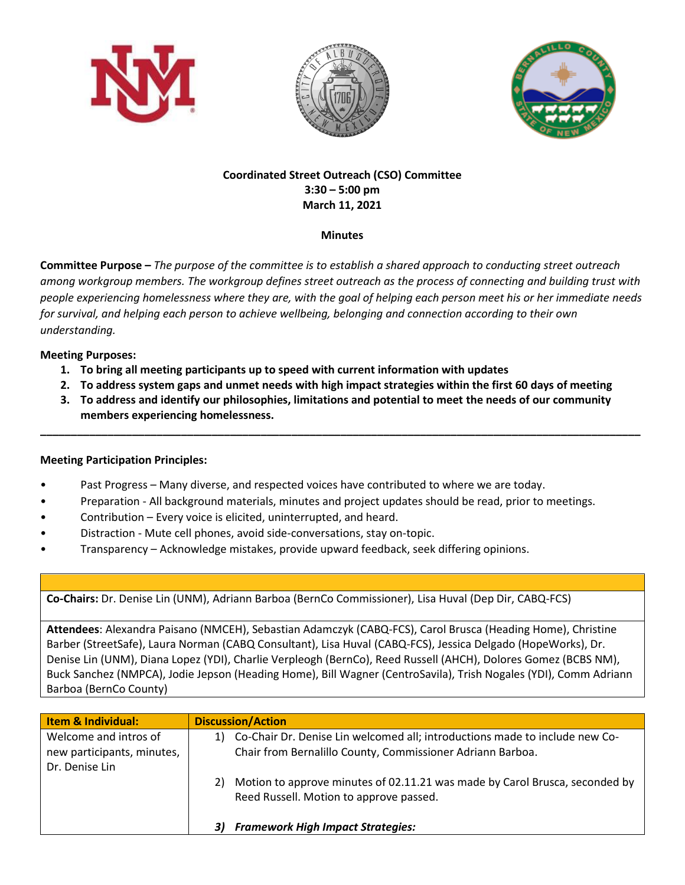





# **Coordinated Street Outreach (CSO) Committee 3:30 – 5:00 pm March 11, 2021**

### **Minutes**

**Committee Purpose –** *The purpose of the committee is to establish a shared approach to conducting street outreach among workgroup members. The workgroup defines street outreach as the process of connecting and building trust with people experiencing homelessness where they are, with the goal of helping each person meet his or her immediate needs for survival, and helping each person to achieve wellbeing, belonging and connection according to their own understanding.*

## **Meeting Purposes:**

- **1. To bring all meeting participants up to speed with current information with updates**
- **2. To address system gaps and unmet needs with high impact strategies within the first 60 days of meeting**
- **3. To address and identify our philosophies, limitations and potential to meet the needs of our community members experiencing homelessness.**

**\_\_\_\_\_\_\_\_\_\_\_\_\_\_\_\_\_\_\_\_\_\_\_\_\_\_\_\_\_\_\_\_\_\_\_\_\_\_\_\_\_\_\_\_\_\_\_\_\_\_\_\_\_\_\_\_\_\_\_\_\_\_\_\_\_\_\_\_\_\_\_\_\_\_\_\_\_\_\_\_\_\_\_\_\_\_\_\_\_\_\_\_\_\_\_\_\_\_**

## **Meeting Participation Principles:**

- Past Progress Many diverse, and respected voices have contributed to where we are today.
- Preparation All background materials, minutes and project updates should be read, prior to meetings.
- Contribution Every voice is elicited, uninterrupted, and heard.
- Distraction Mute cell phones, avoid side-conversations, stay on-topic.
- Transparency Acknowledge mistakes, provide upward feedback, seek differing opinions.

**Co-Chairs:** Dr. Denise Lin (UNM), Adriann Barboa (BernCo Commissioner), Lisa Huval (Dep Dir, CABQ-FCS)

**Attendees**: Alexandra Paisano (NMCEH), Sebastian Adamczyk (CABQ-FCS), Carol Brusca (Heading Home), Christine Barber (StreetSafe), Laura Norman (CABQ Consultant), Lisa Huval (CABQ-FCS), Jessica Delgado (HopeWorks), Dr. Denise Lin (UNM), Diana Lopez (YDI), Charlie Verpleogh (BernCo), Reed Russell (AHCH), Dolores Gomez (BCBS NM), Buck Sanchez (NMPCA), Jodie Jepson (Heading Home), Bill Wagner (CentroSavila), Trish Nogales (YDI), Comm Adriann Barboa (BernCo County)

| <b>Item &amp; Individual:</b>                                         | <b>Discussion/Action</b>                                                                                                                     |
|-----------------------------------------------------------------------|----------------------------------------------------------------------------------------------------------------------------------------------|
| Welcome and intros of<br>new participants, minutes,<br>Dr. Denise Lin | 1) Co-Chair Dr. Denise Lin welcomed all; introductions made to include new Co-<br>Chair from Bernalillo County, Commissioner Adriann Barboa. |
|                                                                       | Motion to approve minutes of 02.11.21 was made by Carol Brusca, seconded by<br>2)<br>Reed Russell. Motion to approve passed.                 |
|                                                                       | <b>Framework High Impact Strategies:</b><br>31                                                                                               |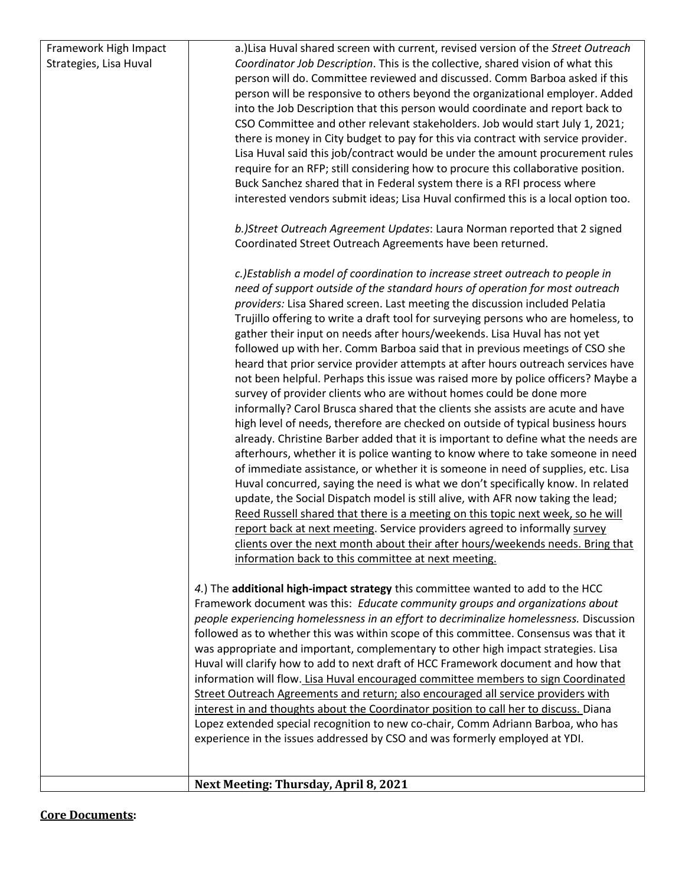| Framework High Impact  | a.) Lisa Huval shared screen with current, revised version of the Street Outreach       |
|------------------------|-----------------------------------------------------------------------------------------|
| Strategies, Lisa Huval | Coordinator Job Description. This is the collective, shared vision of what this         |
|                        | person will do. Committee reviewed and discussed. Comm Barboa asked if this             |
|                        | person will be responsive to others beyond the organizational employer. Added           |
|                        | into the Job Description that this person would coordinate and report back to           |
|                        | CSO Committee and other relevant stakeholders. Job would start July 1, 2021;            |
|                        | there is money in City budget to pay for this via contract with service provider.       |
|                        | Lisa Huval said this job/contract would be under the amount procurement rules           |
|                        | require for an RFP; still considering how to procure this collaborative position.       |
|                        | Buck Sanchez shared that in Federal system there is a RFI process where                 |
|                        | interested vendors submit ideas; Lisa Huval confirmed this is a local option too.       |
|                        |                                                                                         |
|                        | b.)Street Outreach Agreement Updates: Laura Norman reported that 2 signed               |
|                        | Coordinated Street Outreach Agreements have been returned.                              |
|                        |                                                                                         |
|                        | c.)Establish a model of coordination to increase street outreach to people in           |
|                        | need of support outside of the standard hours of operation for most outreach            |
|                        | providers: Lisa Shared screen. Last meeting the discussion included Pelatia             |
|                        | Trujillo offering to write a draft tool for surveying persons who are homeless, to      |
|                        | gather their input on needs after hours/weekends. Lisa Huval has not yet                |
|                        | followed up with her. Comm Barboa said that in previous meetings of CSO she             |
|                        | heard that prior service provider attempts at after hours outreach services have        |
|                        | not been helpful. Perhaps this issue was raised more by police officers? Maybe a        |
|                        | survey of provider clients who are without homes could be done more                     |
|                        | informally? Carol Brusca shared that the clients she assists are acute and have         |
|                        | high level of needs, therefore are checked on outside of typical business hours         |
|                        | already. Christine Barber added that it is important to define what the needs are       |
|                        | afterhours, whether it is police wanting to know where to take someone in need          |
|                        | of immediate assistance, or whether it is someone in need of supplies, etc. Lisa        |
|                        | Huval concurred, saying the need is what we don't specifically know. In related         |
|                        | update, the Social Dispatch model is still alive, with AFR now taking the lead;         |
|                        | Reed Russell shared that there is a meeting on this topic next week, so he will         |
|                        | report back at next meeting. Service providers agreed to informally survey              |
|                        | clients over the next month about their after hours/weekends needs. Bring that          |
|                        | information back to this committee at next meeting.                                     |
|                        |                                                                                         |
|                        | 4.) The additional high-impact strategy this committee wanted to add to the HCC         |
|                        | Framework document was this: Educate community groups and organizations about           |
|                        | people experiencing homelessness in an effort to decriminalize homelessness. Discussion |
|                        | followed as to whether this was within scope of this committee. Consensus was that it   |
|                        | was appropriate and important, complementary to other high impact strategies. Lisa      |
|                        | Huval will clarify how to add to next draft of HCC Framework document and how that      |
|                        | information will flow. Lisa Huval encouraged committee members to sign Coordinated      |
|                        | Street Outreach Agreements and return; also encouraged all service providers with       |
|                        | interest in and thoughts about the Coordinator position to call her to discuss. Diana   |
|                        | Lopez extended special recognition to new co-chair, Comm Adriann Barboa, who has        |
|                        | experience in the issues addressed by CSO and was formerly employed at YDI.             |
|                        |                                                                                         |
|                        | Next Meeting: Thursday, April 8, 2021                                                   |
|                        |                                                                                         |

## **Core Documents:**